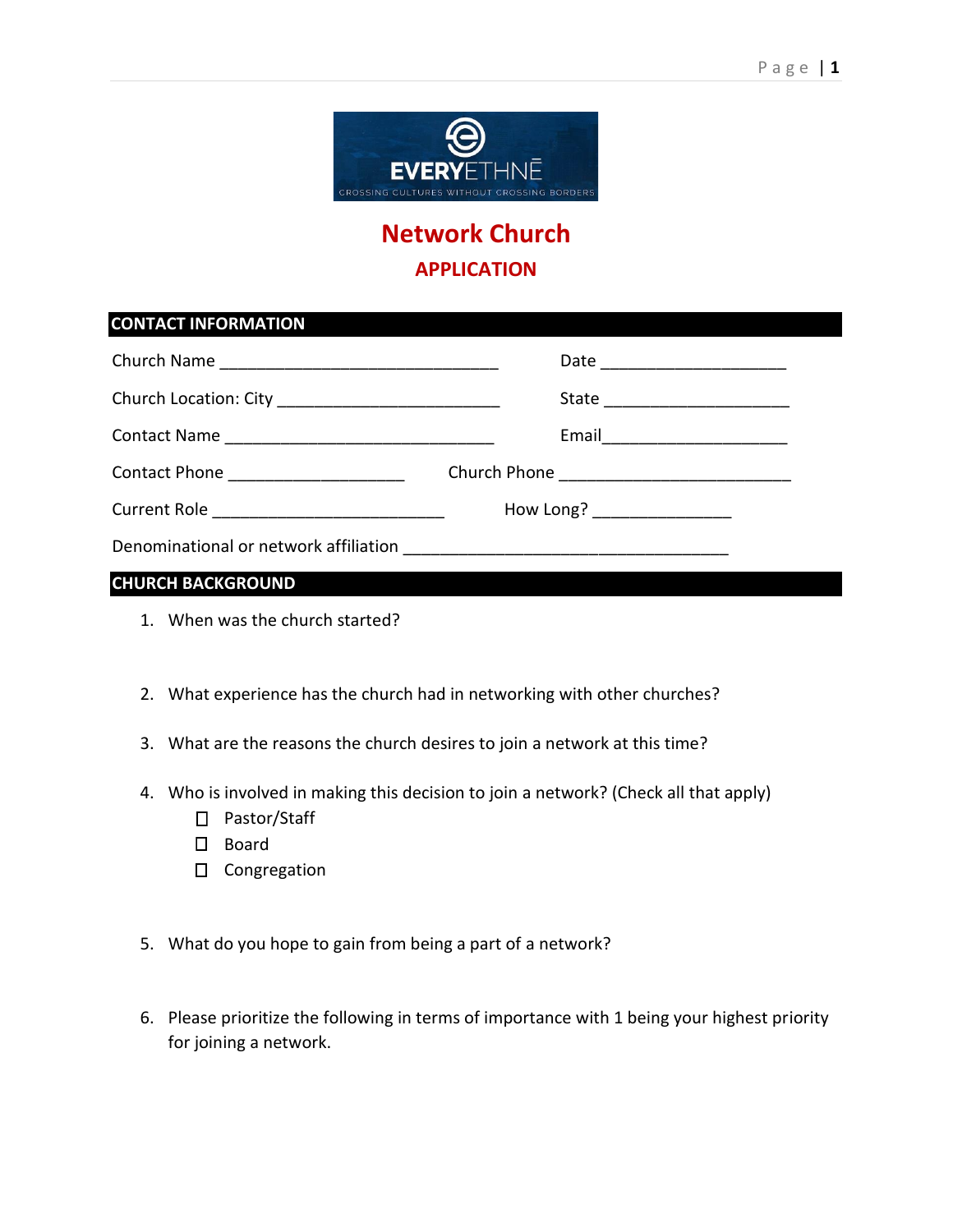

## **Network Church APPLICATION**

| <b>CONTACT INFORMATION</b>                  |                                  |  |
|---------------------------------------------|----------------------------------|--|
|                                             |                                  |  |
|                                             | State __________________________ |  |
|                                             |                                  |  |
| Contact Phone _____________________         |                                  |  |
| Current Role ______________________________ | How Long? __________________     |  |
|                                             |                                  |  |
| $\frac{1}{2}$                               |                                  |  |

## **CHURCH BACKGROUND**

- 1. When was the church started?
- 2. What experience has the church had in networking with other churches?
- 3. What are the reasons the church desires to join a network at this time?
- 4. Who is involved in making this decision to join a network? (Check all that apply)
	- □ Pastor/Staff
	- □ Board
	- □ Congregation
- 5. What do you hope to gain from being a part of a network?
- 6. Please prioritize the following in terms of importance with 1 being your highest priority for joining a network.